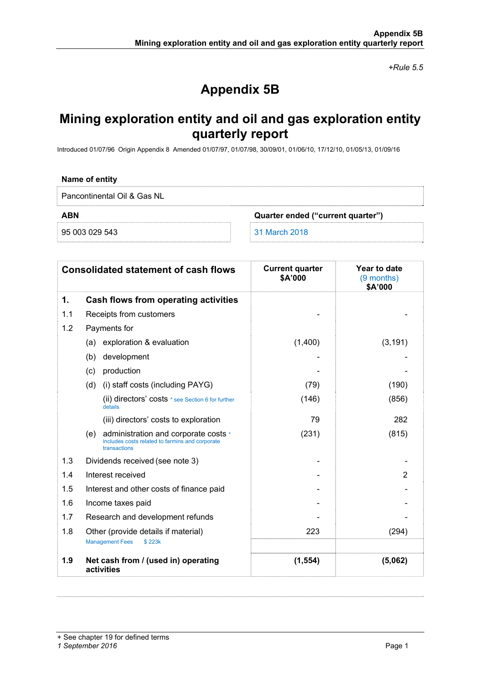*+Rule 5.5* 

# **Appendix 5B**

## **Mining exploration entity and oil and gas exploration entity quarterly report**

Introduced 01/07/96 Origin Appendix 8 Amended 01/07/97, 01/07/98, 30/09/01, 01/06/10, 17/12/10, 01/05/13, 01/09/16

### **Name of entity**

Pancontinental Oil & Gas NL

**ABN Quarter ended ("current quarter")** 

95 003 029 543 31 March 2018

|     | <b>Consolidated statement of cash flows</b>                                                                    | <b>Current quarter</b><br>\$A'000 | Year to date<br>(9 months)<br>\$A'000 |
|-----|----------------------------------------------------------------------------------------------------------------|-----------------------------------|---------------------------------------|
| 1.  | Cash flows from operating activities                                                                           |                                   |                                       |
| 1.1 | Receipts from customers                                                                                        |                                   |                                       |
| 1.2 | Payments for                                                                                                   |                                   |                                       |
|     | (a) exploration & evaluation                                                                                   | (1,400)                           | (3, 191)                              |
|     | development<br>(b)                                                                                             |                                   |                                       |
|     | production<br>(c)                                                                                              |                                   |                                       |
|     | (i) staff costs (including PAYG)<br>(d)                                                                        | (79)                              | (190)                                 |
|     | (ii) directors' costs * see Section 6 for further<br>details                                                   | (146)                             | (856)                                 |
|     | (iii) directors' costs to exploration                                                                          | 79                                | 282                                   |
|     | administration and corporate costs *<br>(e)<br>includes costs related to farmins and corporate<br>transactions | (231)                             | (815)                                 |
| 1.3 | Dividends received (see note 3)                                                                                |                                   |                                       |
| 1.4 | Interest received                                                                                              |                                   | $\overline{2}$                        |
| 1.5 | Interest and other costs of finance paid                                                                       |                                   |                                       |
| 1.6 | Income taxes paid                                                                                              |                                   |                                       |
| 1.7 | Research and development refunds                                                                               |                                   |                                       |
| 1.8 | Other (provide details if material)<br><b>Management Fees</b><br>\$223k                                        | 223                               | (294)                                 |
| 1.9 | Net cash from / (used in) operating<br>activities                                                              | (1, 554)                          | (5,062)                               |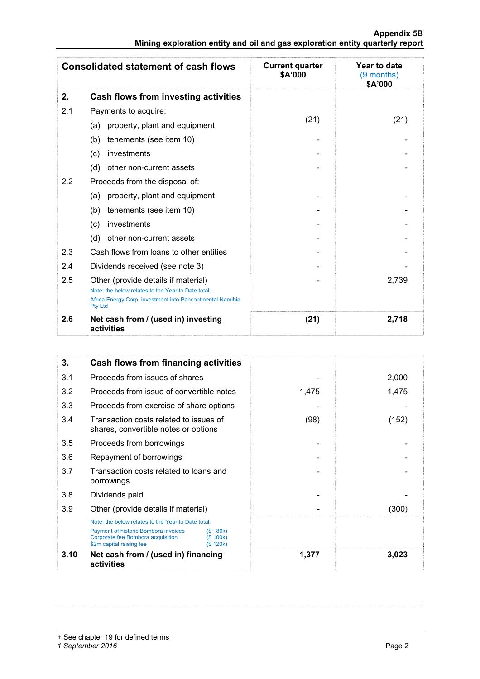|                                                                               |  |  | Appendix 5B |
|-------------------------------------------------------------------------------|--|--|-------------|
| Mining exploration entity and oil and gas exploration entity quarterly report |  |  |             |

|         | <b>Consolidated statement of cash flows</b>                                                                                        | <b>Current quarter</b><br>\$A'000 | Year to date<br>$(9$ months)<br>\$A'000 |
|---------|------------------------------------------------------------------------------------------------------------------------------------|-----------------------------------|-----------------------------------------|
| 2.      | Cash flows from investing activities                                                                                               |                                   |                                         |
| 2.1     | Payments to acquire:                                                                                                               |                                   |                                         |
|         | property, plant and equipment<br>(a)                                                                                               | (21)                              | (21)                                    |
|         | tenements (see item 10)<br>(b)                                                                                                     |                                   |                                         |
|         | investments<br>(c)                                                                                                                 |                                   |                                         |
|         | other non-current assets<br>(d)                                                                                                    |                                   |                                         |
| $2.2\,$ | Proceeds from the disposal of:                                                                                                     |                                   |                                         |
|         | property, plant and equipment<br>(a)                                                                                               |                                   |                                         |
|         | tenements (see item 10)<br>(b)                                                                                                     |                                   |                                         |
|         | investments<br>(c)                                                                                                                 |                                   |                                         |
|         | (d)<br>other non-current assets                                                                                                    |                                   |                                         |
| 2.3     | Cash flows from loans to other entities                                                                                            |                                   |                                         |
| 2.4     | Dividends received (see note 3)                                                                                                    |                                   |                                         |
| 2.5     | Other (provide details if material)                                                                                                |                                   | 2,739                                   |
|         | Note: the below relates to the Year to Date total.<br>Africa Energy Corp. investment into Pancontinental Namibia<br><b>Pty Ltd</b> |                                   |                                         |
| 2.6     | Net cash from / (used in) investing<br>activities                                                                                  | (21)                              | 2,718                                   |

| 3.   | <b>Cash flows from financing activities</b>                                                                                                                                                    |       |       |
|------|------------------------------------------------------------------------------------------------------------------------------------------------------------------------------------------------|-------|-------|
| 3.1  | Proceeds from issues of shares                                                                                                                                                                 |       | 2,000 |
| 3.2  | Proceeds from issue of convertible notes                                                                                                                                                       | 1,475 | 1,475 |
| 3.3  | Proceeds from exercise of share options                                                                                                                                                        |       |       |
| 3.4  | Transaction costs related to issues of<br>shares, convertible notes or options                                                                                                                 | (98)  | (152) |
| 3.5  | Proceeds from borrowings                                                                                                                                                                       |       |       |
| 3.6  | Repayment of borrowings                                                                                                                                                                        |       |       |
| 3.7  | Transaction costs related to loans and<br>borrowings                                                                                                                                           |       |       |
| 3.8  | Dividends paid                                                                                                                                                                                 |       |       |
| 3.9  | Other (provide details if material)                                                                                                                                                            |       | (300) |
|      | Note: the below relates to the Year to Date total.<br>Payment of historic Bombora invoices<br>(S 80k)<br>Corporate fee Bombora acquisition<br>(S 100k)<br>\$2m capital raising fee<br>(S 120k) |       |       |
| 3.10 | Net cash from / (used in) financing<br>activities                                                                                                                                              | 1,377 | 3,023 |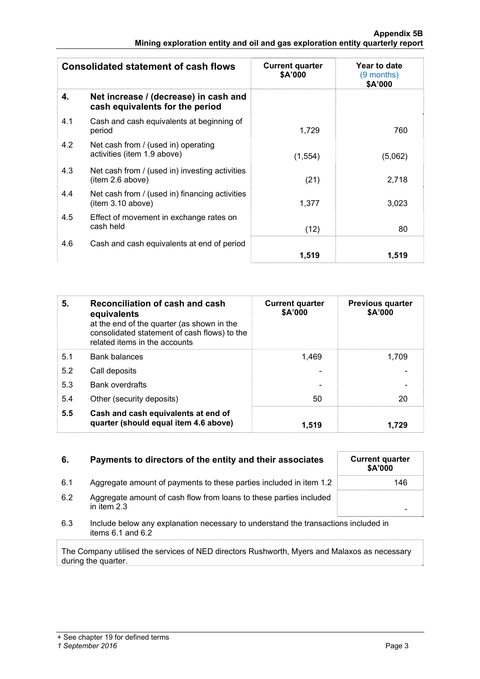|     | <b>Consolidated statement of cash flows</b>                              | <b>Current quarter</b><br>\$A'000 | Year to date<br>(9 months)<br>\$A'000 |
|-----|--------------------------------------------------------------------------|-----------------------------------|---------------------------------------|
| 4.  | Net increase / (decrease) in cash and<br>cash equivalents for the period |                                   |                                       |
| 4.1 | Cash and cash equivalents at beginning of<br>period                      | 1.729                             | 760                                   |
| 4.2 | Net cash from / (used in) operating<br>activities (item 1.9 above)       | (1,554)                           | (5,062)                               |
| 4.3 | Net cash from / (used in) investing activities<br>item 2.6 above)        | (21)                              | 2,718                                 |
| 4.4 | Net cash from / (used in) financing activities<br>(item 3.10 above)      | 1.377                             | 3,023                                 |
| 4.5 | Effect of movement in exchange rates on<br>cash held                     | (12)                              | 80                                    |
| 4.6 | Cash and cash equivalents at end of period                               | 1,519                             | 1,519                                 |

| 5.  | Reconciliation of cash and cash<br>equivalents<br>at the end of the quarter (as shown in the<br>consolidated statement of cash flows) to the<br>related items in the accounts | <b>Current quarter</b><br>\$A'000 | <b>Previous quarter</b><br>\$A'000 |
|-----|-------------------------------------------------------------------------------------------------------------------------------------------------------------------------------|-----------------------------------|------------------------------------|
| 5.1 | <b>Bank balances</b>                                                                                                                                                          | 1.469                             | 1.709                              |
| 5.2 | Call deposits                                                                                                                                                                 |                                   |                                    |
| 5.3 | <b>Bank overdrafts</b>                                                                                                                                                        |                                   |                                    |
| 5.4 | Other (security deposits)                                                                                                                                                     | 50                                | 20                                 |
| 5.5 | Cash and cash equivalents at end of<br>quarter (should equal item 4.6 above)                                                                                                  | 1.519                             | 1.729                              |

| Payments to directors of the entity and their associates | <b>Current quarter</b> |
|----------------------------------------------------------|------------------------|
|                                                          |                        |

- 6.1 Aggregate amount of payments to these parties included in item 1.2
- 6.2 Aggregate amount of cash flow from loans to these parties included in item 2.3 -
- 6.3 Include below any explanation necessary to understand the transactions included in items 6.1 and 6.2

The Company utilised the services of NED directors Rushworth, Myers and Malaxos as necessary during the quarter.

| <b>Current quarter</b><br>\$A'000 |  |
|-----------------------------------|--|
| 146                               |  |
|                                   |  |
|                                   |  |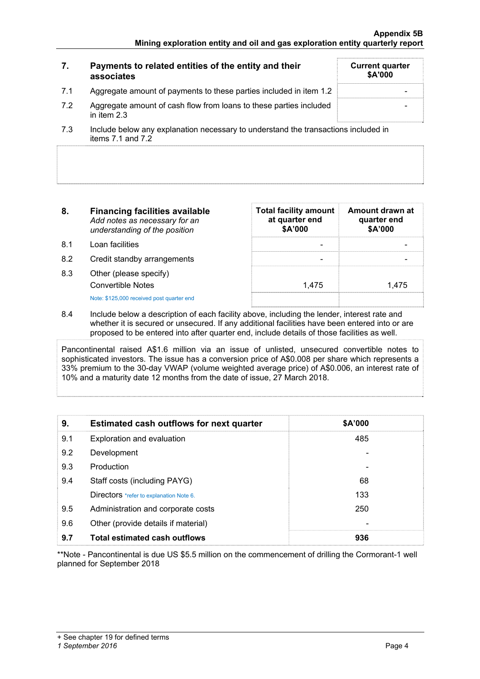|     | Payments to related entities of the entity and their<br>associates                | <b>Current quarter</b><br>\$A'000 |
|-----|-----------------------------------------------------------------------------------|-----------------------------------|
| 7.1 | Aggregate amount of payments to these parties included in item 1.2                |                                   |
| 7.2 | Aggregate amount of cash flow from loans to these parties included<br>in item 2.3 |                                   |
|     | .                                                                                 |                                   |

<sup>7.3</sup> Include below any explanation necessary to understand the transactions included in items  $7.1$  and  $7.2$ 

| 8. | <b>Financing facilities available</b> |
|----|---------------------------------------|
|    | Add notes as necessary for an         |
|    | understanding of the position         |

- 8.1 Loan facilities
- 8.2 Credit standby arrangements
- 8.3 Other (please specify) Convertible Notes Note: \$125,000 received post quarter end

| <b>Total facility amount</b><br>at quarter end<br>\$A'000 | Amount drawn at<br>quarter end<br>\$A'000 |
|-----------------------------------------------------------|-------------------------------------------|
|                                                           |                                           |
|                                                           |                                           |
| 1,475                                                     | 1.475                                     |
|                                                           |                                           |

8.4 Include below a description of each facility above, including the lender, interest rate and whether it is secured or unsecured. If any additional facilities have been entered into or are proposed to be entered into after quarter end, include details of those facilities as well.

Pancontinental raised A\$1.6 million via an issue of unlisted, unsecured convertible notes to sophisticated investors. The issue has a conversion price of A\$0.008 per share which represents a 33% premium to the 30-day VWAP (volume weighted average price) of A\$0.006, an interest rate of 10% and a maturity date 12 months from the date of issue, 27 March 2018.

| 9.  | Estimated cash outflows for next quarter | \$A'000 |  |
|-----|------------------------------------------|---------|--|
| 9.1 | Exploration and evaluation               | 485     |  |
| 9.2 | Development                              |         |  |
| 9.3 | Production                               |         |  |
| 9.4 | Staff costs (including PAYG)             | 68      |  |
|     | Directors *refer to explanation Note 6.  | 133     |  |
| 9.5 | Administration and corporate costs       | 250     |  |
| 9.6 | Other (provide details if material)      |         |  |
| 9.7 | <b>Total estimated cash outflows</b>     | 936     |  |

\*\*Note - Pancontinental is due US \$5.5 million on the commencement of drilling the Cormorant-1 well planned for September 2018